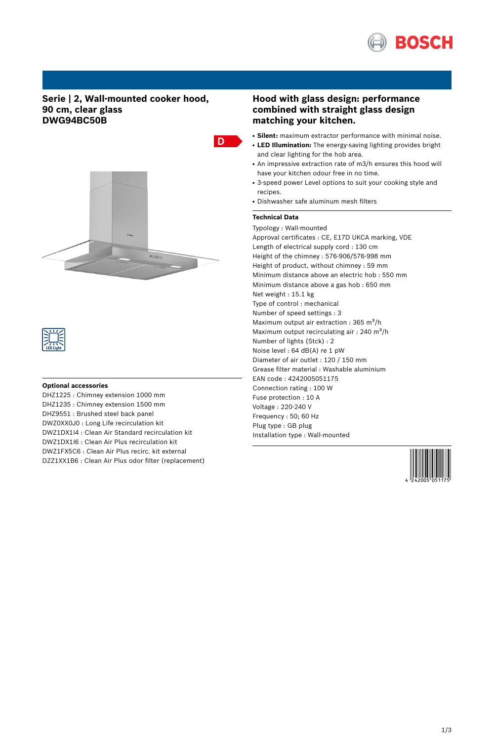

# **Serie | 2, Wall-mounted cooker hood, 90 cm, clear glass DWG94BC50B**





### **Optional accessories**

DHZ1225 : Chimney extension 1000 mm DHZ1235 : Chimney extension 1500 mm DHZ9551 : Brushed steel back panel DWZ0XX0J0 : Long Life recirculation kit DWZ1DX1I4 : Clean Air Standard recirculation kit DWZ1DX1I6 : Clean Air Plus recirculation kit DWZ1FX5C6 : Clean Air Plus recirc. kit external DZZ1XX1B6 : Clean Air Plus odor filter (replacement)

# **Hood with glass design: performance combined with straight glass design matching your kitchen.**

- Silent: maximum extractor performance with minimal noise.
- **LED Illumination:** The energy-saving lighting provides bright and clear lighting for the hob area.
- An impressive extraction rate of m3/h ensures this hood will have your kitchen odour free in no time.
- 3-speed power Level options to suit your cooking style and recipes.
- Dishwasher safe aluminum mesh filters

## **Technical Data**

D

Typology : Wall-mounted Approval certificates : CE, E17D UKCA marking, VDE Length of electrical supply cord : 130 cm Height of the chimney : 576-906/576-998 mm Height of product, without chimney : 59 mm Minimum distance above an electric hob : 550 mm Minimum distance above a gas hob : 650 mm Net weight : 15.1 kg Type of control : mechanical Number of speed settings : 3 Maximum output air extraction : 365 m<sup>3</sup>/h Maximum output recirculating air : 240 m<sup>3</sup>/h Number of lights (Stck) : 2 Noise level : 64 dB(A) re 1 pW Diameter of air outlet : 120 / 150 mm Grease filter material : Washable aluminium EAN code : 4242005051175 Connection rating : 100 W Fuse protection : 10 A Voltage : 220-240 V Frequency : 50; 60 Hz Plug type : GB plug Installation type : Wall-mounted

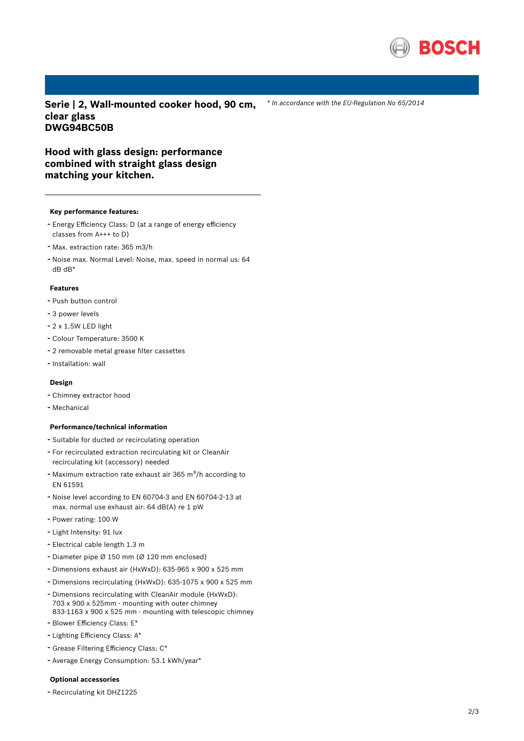

*\* In accordance with the EU-Regulation No 65/2014*

**Serie | 2, Wall-mounted cooker hood, 90 cm, clear glass DWG94BC50B**

**Hood with glass design: performance combined with straight glass design matching your kitchen.**

#### **Key performance features:**

- Energy Efficiency Class: <sup>D</sup> (at <sup>a</sup> range of energy efficiency classes from A+++ to D)
- Max. extraction rate: <sup>365</sup> m3/h
- Noise max. Normal Level: Noise, max. speed in normal us: <sup>64</sup> dB dB\*

#### **Features**

- Push button control
- <sup>3</sup> power levels
- 2 x 1.5W LED light
- Colour Temperature: <sup>3500</sup> <sup>K</sup>
- <sup>2</sup> removable metal grease filter cassettes
- Installation: wall

## **Design**

- Chimney extractor hood
- Mechanical

### **Performance/technical information**

- Suitable for ducted or recirculating operation
- For recirculated extraction recirculating kit or CleanAir recirculating kit (accessory) needed
- Maximum extraction rate exhaust air 365 m<sup>3</sup>/h according to EN 61591
- Noise level according to EN 60704-3 and EN 60704-2-13 at max. normal use exhaust air: 64 dB(A) re 1 pW
- Power rating: <sup>100</sup> <sup>W</sup>
- Light Intensity: <sup>91</sup> lux
- Electrical cable length 1.3 <sup>m</sup>
- Diameter pipe <sup>Ø</sup> <sup>150</sup> mm (Ø <sup>120</sup> mm enclosed)
- Dimensions exhaust air (HxWxD): 635-965 <sup>x</sup> <sup>900</sup> <sup>x</sup> <sup>525</sup> mm
- Dimensions recirculating (HxWxD): 635-1075 <sup>x</sup> <sup>900</sup> <sup>x</sup> <sup>525</sup> mm
- Dimensions recirculating with CleanAir module (HxWxD): 703 x 900 x 525mm - mounting with outer chimney 833-1163 x 900 x 525 mm - mounting with telescopic chimney
- Blower Efficiency Class: E\*
- Lighting Efficiency Class: A\*
- Grease Filtering Efficiency Class: C\*
- Average Energy Consumption: 53.1 kWh/year\*

### **Optional accessories**

- Recirculating kit DHZ1225